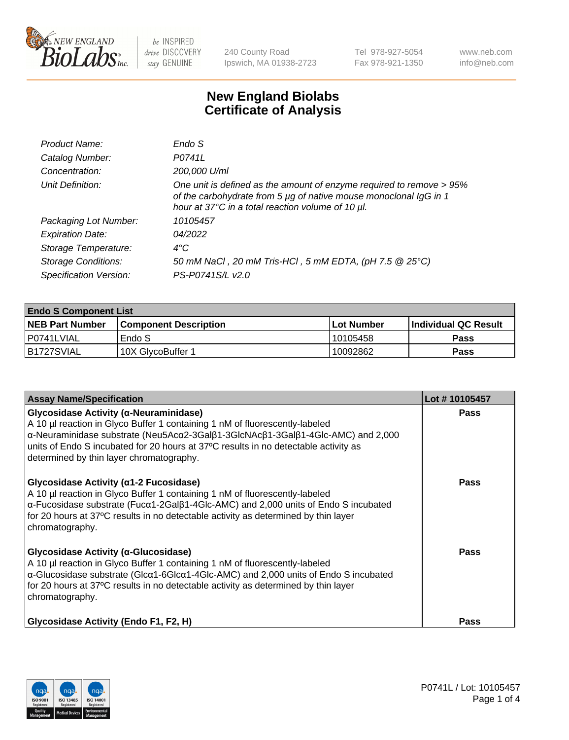

240 County Road Ipswich, MA 01938-2723 Tel 978-927-5054 Fax 978-921-1350 www.neb.com info@neb.com

## **New England Biolabs Certificate of Analysis**

| Product Name:              | Endo S                                                                                                                                                                                         |
|----------------------------|------------------------------------------------------------------------------------------------------------------------------------------------------------------------------------------------|
| Catalog Number:            | P0741L                                                                                                                                                                                         |
| Concentration:             | 200,000 U/ml                                                                                                                                                                                   |
| Unit Definition:           | One unit is defined as the amount of enzyme required to remove > 95%<br>of the carbohydrate from 5 µg of native mouse monoclonal IgG in 1<br>hour at 37°C in a total reaction volume of 10 µl. |
| Packaging Lot Number:      | 10105457                                                                                                                                                                                       |
| <b>Expiration Date:</b>    | 04/2022                                                                                                                                                                                        |
| Storage Temperature:       | $4^{\circ}$ C                                                                                                                                                                                  |
| <b>Storage Conditions:</b> | 50 mM NaCl, 20 mM Tris-HCl, 5 mM EDTA, (pH 7.5 @ 25°C)                                                                                                                                         |
| Specification Version:     | PS-P0741S/L v2.0                                                                                                                                                                               |

| <b>Endo S Component List</b> |                         |              |                             |  |  |
|------------------------------|-------------------------|--------------|-----------------------------|--|--|
| <b>NEB Part Number</b>       | l Component Description | l Lot Number | <b>Individual QC Result</b> |  |  |
| l P0741LVIAL                 | Endo S                  | 10105458     | <b>Pass</b>                 |  |  |
| B1727SVIAL                   | 10X GlycoBuffer 1       | 10092862     | Pass                        |  |  |

| <b>Assay Name/Specification</b>                                                                                                                                                                                                                                                                                                                        | Lot #10105457 |
|--------------------------------------------------------------------------------------------------------------------------------------------------------------------------------------------------------------------------------------------------------------------------------------------------------------------------------------------------------|---------------|
| Glycosidase Activity (α-Neuraminidase)<br>A 10 µl reaction in Glyco Buffer 1 containing 1 nM of fluorescently-labeled<br>α-Neuraminidase substrate (Neu5Acα2-3Galβ1-3GlcNAcβ1-3Galβ1-4Glc-AMC) and 2,000<br>units of Endo S incubated for 20 hours at 37°C results in no detectable activity as<br>determined by thin layer chromatography.            | Pass          |
| Glycosidase Activity ( $\alpha$ 1-2 Fucosidase)<br>A 10 µl reaction in Glyco Buffer 1 containing 1 nM of fluorescently-labeled<br>$\alpha$ -Fucosidase substrate (Fuc $\alpha$ 1-2Gal $\beta$ 1-4Glc-AMC) and 2,000 units of Endo S incubated<br>for 20 hours at 37°C results in no detectable activity as determined by thin layer<br>chromatography. | <b>Pass</b>   |
| Glycosidase Activity (α-Glucosidase)<br>A 10 µl reaction in Glyco Buffer 1 containing 1 nM of fluorescently-labeled<br>α-Glucosidase substrate (Glcα1-6Glcα1-4Glc-AMC) and 2,000 units of Endo S incubated<br>for 20 hours at 37°C results in no detectable activity as determined by thin layer<br>chromatography.                                    | <b>Pass</b>   |
| <b>Glycosidase Activity (Endo F1, F2, H)</b>                                                                                                                                                                                                                                                                                                           | Pass          |

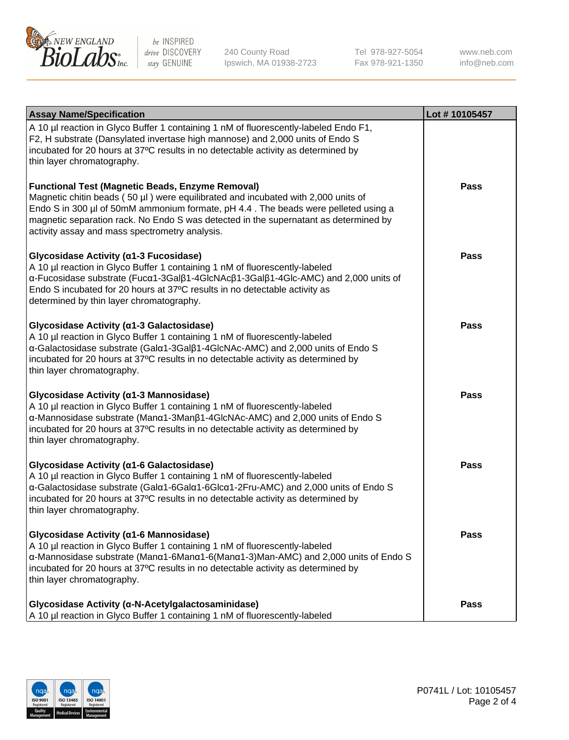

240 County Road Ipswich, MA 01938-2723 Tel 978-927-5054 Fax 978-921-1350 www.neb.com info@neb.com

| <b>Assay Name/Specification</b>                                                                                                                                                                                                                                                                                                                                              | Lot #10105457 |
|------------------------------------------------------------------------------------------------------------------------------------------------------------------------------------------------------------------------------------------------------------------------------------------------------------------------------------------------------------------------------|---------------|
| A 10 µl reaction in Glyco Buffer 1 containing 1 nM of fluorescently-labeled Endo F1,<br>F2, H substrate (Dansylated invertase high mannose) and 2,000 units of Endo S<br>incubated for 20 hours at 37°C results in no detectable activity as determined by<br>thin layer chromatography.                                                                                     |               |
| <b>Functional Test (Magnetic Beads, Enzyme Removal)</b><br>Magnetic chitin beads (50 µl) were equilibrated and incubated with 2,000 units of<br>Endo S in 300 µl of 50mM ammonium formate, pH 4.4. The beads were pelleted using a<br>magnetic separation rack. No Endo S was detected in the supernatant as determined by<br>activity assay and mass spectrometry analysis. | <b>Pass</b>   |
| Glycosidase Activity (α1-3 Fucosidase)<br>A 10 µl reaction in Glyco Buffer 1 containing 1 nM of fluorescently-labeled<br>α-Fucosidase substrate (Fucα1-3Galβ1-4GlcNAcβ1-3Galβ1-4Glc-AMC) and 2,000 units of<br>Endo S incubated for 20 hours at 37°C results in no detectable activity as<br>determined by thin layer chromatography.                                        | <b>Pass</b>   |
| Glycosidase Activity (α1-3 Galactosidase)<br>A 10 µl reaction in Glyco Buffer 1 containing 1 nM of fluorescently-labeled<br>α-Galactosidase substrate (Galα1-3Galβ1-4GlcNAc-AMC) and 2,000 units of Endo S<br>incubated for 20 hours at 37°C results in no detectable activity as determined by<br>thin layer chromatography.                                                | <b>Pass</b>   |
| Glycosidase Activity (α1-3 Mannosidase)<br>A 10 µl reaction in Glyco Buffer 1 containing 1 nM of fluorescently-labeled<br>α-Mannosidase substrate (Manα1-3Manβ1-4GlcNAc-AMC) and 2,000 units of Endo S<br>incubated for 20 hours at 37°C results in no detectable activity as determined by<br>thin layer chromatography.                                                    | <b>Pass</b>   |
| Glycosidase Activity (α1-6 Galactosidase)<br>A 10 µl reaction in Glyco Buffer 1 containing 1 nM of fluorescently-labeled<br>α-Galactosidase substrate (Galα1-6Galα1-6Glcα1-2Fru-AMC) and 2,000 units of Endo S<br>incubated for 20 hours at 37°C results in no detectable activity as determined by<br>thin layer chromatography.                                            | <b>Pass</b>   |
| Glycosidase Activity (α1-6 Mannosidase)<br>A 10 µl reaction in Glyco Buffer 1 containing 1 nM of fluorescently-labeled<br>α-Mannosidase substrate (Μanα1-6Μanα1-6(Μanα1-3)Man-AMC) and 2,000 units of Endo S<br>incubated for 20 hours at 37°C results in no detectable activity as determined by<br>thin layer chromatography.                                              | <b>Pass</b>   |
| Glycosidase Activity (α-N-Acetylgalactosaminidase)<br>A 10 µl reaction in Glyco Buffer 1 containing 1 nM of fluorescently-labeled                                                                                                                                                                                                                                            | <b>Pass</b>   |

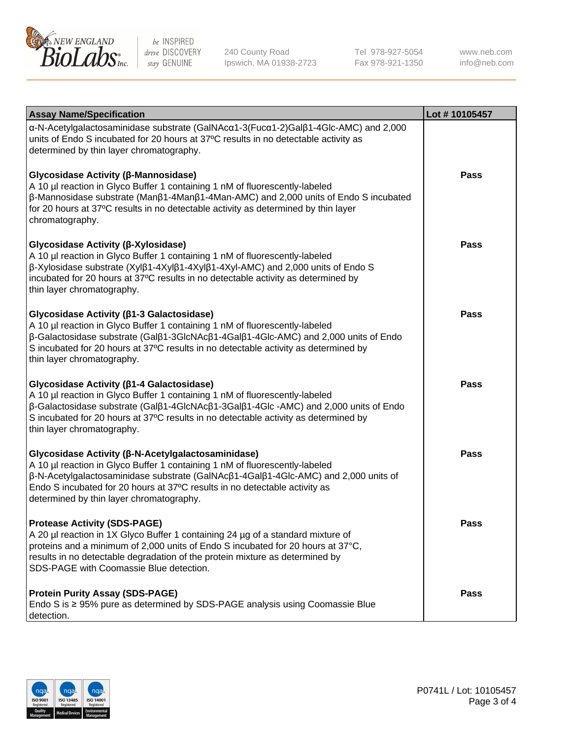

240 County Road Ipswich, MA 01938-2723 Tel 978-927-5054 Fax 978-921-1350

www.neb.com info@neb.com

| <b>Assay Name/Specification</b>                                                                                                                                                                                                                                                                                                                                | Lot #10105457 |
|----------------------------------------------------------------------------------------------------------------------------------------------------------------------------------------------------------------------------------------------------------------------------------------------------------------------------------------------------------------|---------------|
| $\alpha$ -N-Acetylgalactosaminidase substrate (GalNAc $\alpha$ 1-3(Fuc $\alpha$ 1-2)Gal $\beta$ 1-4Glc-AMC) and 2,000<br>units of Endo S incubated for 20 hours at 37°C results in no detectable activity as<br>determined by thin layer chromatography.                                                                                                       |               |
| Glycosidase Activity (β-Mannosidase)<br>A 10 µl reaction in Glyco Buffer 1 containing 1 nM of fluorescently-labeled<br>$\beta$ -Mannosidase substrate (Man $\beta$ 1-4Man $\beta$ 1-4Man-AMC) and 2,000 units of Endo S incubated<br>for 20 hours at 37°C results in no detectable activity as determined by thin layer<br>chromatography.                     | <b>Pass</b>   |
| <b>Glycosidase Activity (β-Xylosidase)</b><br>A 10 µl reaction in Glyco Buffer 1 containing 1 nM of fluorescently-labeled<br>$\beta$ -Xylosidase substrate (Xyl $\beta$ 1-4Xyl $\beta$ 1-4Xyl $\beta$ 1-4Xyl-AMC) and 2,000 units of Endo S<br>incubated for 20 hours at 37°C results in no detectable activity as determined by<br>thin layer chromatography. | <b>Pass</b>   |
| <b>Glycosidase Activity (β1-3 Galactosidase)</b><br>A 10 µl reaction in Glyco Buffer 1 containing 1 nM of fluorescently-labeled<br>β-Galactosidase substrate (Galβ1-3GlcNAcβ1-4Galβ1-4Glc-AMC) and 2,000 units of Endo<br>S incubated for 20 hours at 37°C results in no detectable activity as determined by<br>thin layer chromatography.                    | <b>Pass</b>   |
| <b>Glycosidase Activity (β1-4 Galactosidase)</b><br>A 10 µl reaction in Glyco Buffer 1 containing 1 nM of fluorescently-labeled<br> β-Galactosidase substrate (Galβ1-4GlcNAcβ1-3Galβ1-4Glc-AMC) and 2,000 units of Endo<br>S incubated for 20 hours at 37°C results in no detectable activity as determined by<br>thin layer chromatography.                   | <b>Pass</b>   |
| <b>Glycosidase Activity (β-N-Acetylgalactosaminidase)</b><br>A 10 µl reaction in Glyco Buffer 1 containing 1 nM of fluorescently-labeled<br>β-N-Acetylgalactosaminidase substrate (GalNAcβ1-4Galβ1-4Glc-AMC) and 2,000 units of<br>Endo S incubated for 20 hours at 37°C results in no detectable activity as<br>determined by thin layer chromatography.      | <b>Pass</b>   |
| <b>Protease Activity (SDS-PAGE)</b><br>A 20 µl reaction in 1X Glyco Buffer 1 containing 24 µg of a standard mixture of<br>proteins and a minimum of 2,000 units of Endo S incubated for 20 hours at 37°C,<br>results in no detectable degradation of the protein mixture as determined by<br>SDS-PAGE with Coomassie Blue detection.                           | Pass          |
| <b>Protein Purity Assay (SDS-PAGE)</b><br>Endo S is ≥ 95% pure as determined by SDS-PAGE analysis using Coomassie Blue<br>detection.                                                                                                                                                                                                                           | <b>Pass</b>   |